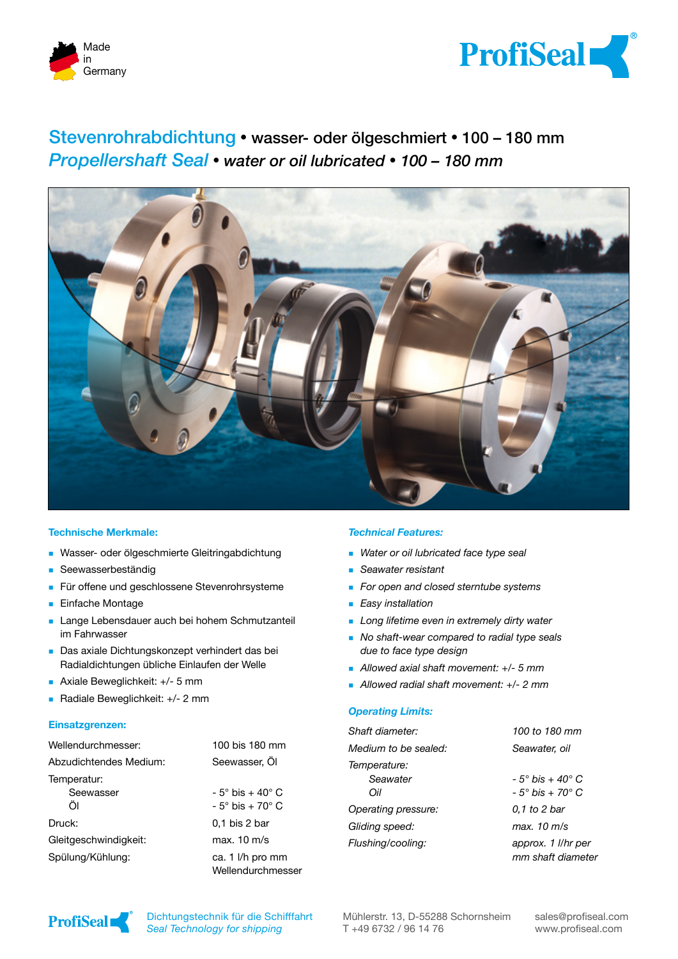



# Stevenrohrabdichtung **�** wasser- oder ölgeschmiert **�** 100 – 180 mm *Propellershaft Seal* **�** *water or oil lubricated* **�** *100 – 180 mm*



#### **Technische Merkmale:**

- **Nasser- oder ölgeschmierte Gleitringabdichtung**
- **Seewasserbeständig**
- Für offene und geschlossene Stevenrohrsysteme
- **Einfache Montage**
- **Lange Lebensdauer auch bei hohem Schmutzanteil** im Fahrwasser
- Das axiale Dichtungskonzept verhindert das bei Radialdichtungen übliche Einlaufen der Welle
- Axiale Beweglichkeit: +/- 5 mm
- Radiale Beweglichkeit: +/- 2 mm

#### **Einsatzgrenzen:**

| Wellendurchmesser:     | 100 bis 180 mm                        |
|------------------------|---------------------------------------|
| Abzudichtendes Medium: | Seewasser, Öl                         |
| Temperatur:            |                                       |
| Seewasser              | - 5° bis + 40° C                      |
| ÖI                     | $-5^\circ$ bis $+70^\circ$ C          |
| Druck:                 | $0.1$ bis 2 bar                       |
| Gleitgeschwindigkeit:  | max. 10 m/s                           |
| Spülung/Kühlung:       | ca. 1 I/h pro mm<br>Wellendurchmesser |

#### *Technical Features:*

- *Water or oil lubricated face type seal*
- *Seawater resistant*
- *For open and closed sterntube systems*
- *Easy installation*
- *Long lifetime even in extremely dirty water*
- *No shaft-wear compared to radial type seals due to face type design*
- *Allowed axial shaft movement: +/- 5 mm*
- *Allowed radial shaft movement: +/- 2 mm*

#### *Operating Limits:*

| Shaft diameter:      | 100 to 180 mm                           |
|----------------------|-----------------------------------------|
| Medium to be sealed: | Seawater, oil                           |
| Temperature:         |                                         |
| Seawater             | - 5° bis + 40° C                        |
| Oil                  | - 5° bis + 70° C                        |
| Operating pressure:  | 0.1 to 2 bar                            |
| Gliding speed:       | max. 10 m/s                             |
| Flushing/cooling:    | approx. 1 l/hr per<br>mm shaft diameter |